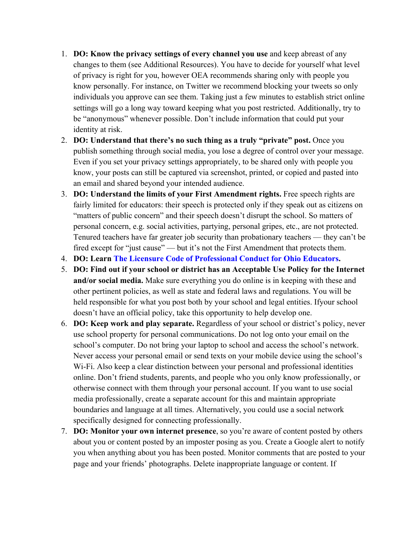- 1. **DO: Know the privacy settings of every channel you use** and keep abreast of any changes to them (see Additional Resources). You have to decide for yourself what level of privacy is right for you, however OEA recommends sharing only with people you know personally. For instance, on Twitter we recommend blocking your tweets so only individuals you approve can see them. Taking just a few minutes to establish strict online settings will go a long way toward keeping what you post restricted. Additionally, try to be "anonymous" whenever possible. Don't include information that could put your identity at risk.
- 2. **DO: Understand that there's no such thing as a truly "private" post.** Once you publish something through social media, you lose a degree of control over your message. Even if you set your privacy settings appropriately, to be shared only with people you know, your posts can still be captured via screenshot, printed, or copied and pasted into an email and shared beyond your intended audience.
- 3. **DO: Understand the limits of your First Amendment rights.** Free speech rights are fairly limited for educators: their speech is protected only if they speak out as citizens on "matters of public concern" and their speech doesn't disrupt the school. So matters of personal concern, e.g. social activities, partying, personal gripes, etc., are not protected. Tenured teachers have far greater job security than probationary teachers — they can't be fired except for "just cause" — but it's not the First Amendment that protects them.
- 4. **DO: Learn The Licensure Code of Professional Conduct for Ohio Educators.**
- 5. **DO: Find out if your school or district has an Acceptable Use Policy for the Internet and/or social media.** Make sure everything you do online is in keeping with these and other pertinent policies, as well as state and federal laws and regulations. You will be held responsible for what you post both by your school and legal entities. Ifyour school doesn't have an official policy, take this opportunity to help develop one.
- 6. **DO: Keep work and play separate.** Regardless of your school or district's policy, never use school property for personal communications. Do not log onto your email on the school's computer. Do not bring your laptop to school and access the school's network. Never access your personal email or send texts on your mobile device using the school's Wi-Fi. Also keep a clear distinction between your personal and professional identities online. Don't friend students, parents, and people who you only know professionally, or otherwise connect with them through your personal account. If you want to use social media professionally, create a separate account for this and maintain appropriate boundaries and language at all times. Alternatively, you could use a social network specifically designed for connecting professionally.
- 7. **DO: Monitor your own internet presence**, so you're aware of content posted by others about you or content posted by an imposter posing as you. Create a Google alert to notify you when anything about you has been posted. Monitor comments that are posted to your page and your friends' photographs. Delete inappropriate language or content. If